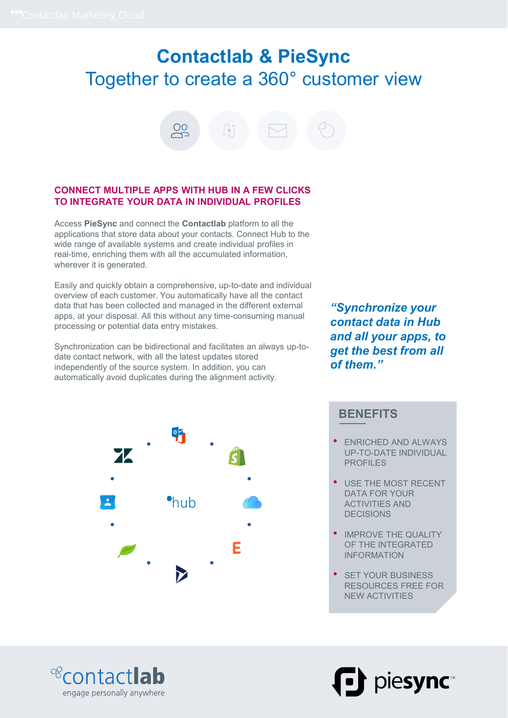# Contactlab & PieSync The cloud<br> **Contactlab & PieSync**<br>
Together to create a 360° customer view<br>
<del>e</del> 8 ti ⊠ + 9



### CONNECT MULTIPLE APPS WITH HUB IN A FEW CLICKS TO INTEGRATE YOUR DATA IN INDIVIDUAL PROFILES

Access PieSync and connect the Contactlab platform to all the applications that store data about your contacts. Connect Hub to the wide range of available systems and create individual profiles in real-time, enriching them with all the accumulated information, wherever it is generated.

Easily and quickly obtain a comprehensive, up-to-date and individual overview of each customer. You automatically have all the contact data that has been collected and managed in the different external apps, at your disposal. All this without any time-consuming manual processing or potential data entry mistakes.

Synchronization can be bidirectional and facilitates an always up-todate contact network, with all the latest updates stored independently of the source system. In addition, you can automatically avoid duplicates during the alignment activity.

"Synchronize your contact data in Hub and all your apps, to get the best from all of them."



**BENEFITS** 

- ENRICHED AND ALWAYS UP-TO-DATE INDIVIDUAL PROFILES<br>• USE THE MOST RECENT
- DATA FOR YOUR ACTIVITIES AND DECISIONS
- IMPROVE THE QUALITY OF THE INTEGRATED INFORMATION
- **SET YOUR BUSINESS** RESOURCES FREE FOR NEW ACTIVITIES